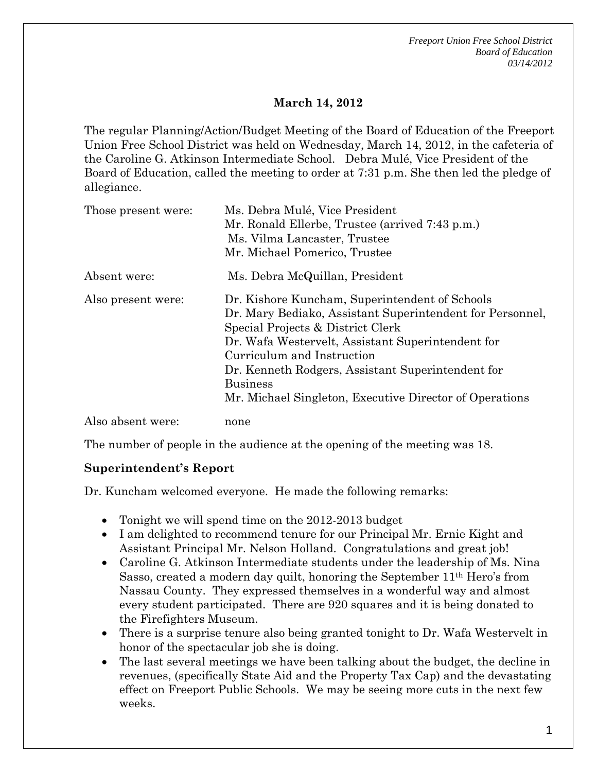*Freeport Union Free School District Board of Education 03/14/2012* 

### **March 14, 2012**

The regular Planning/Action/Budget Meeting of the Board of Education of the Freeport Union Free School District was held on Wednesday, March 14, 2012, in the cafeteria of the Caroline G. Atkinson Intermediate School. Debra Mulé, Vice President of the Board of Education, called the meeting to order at 7:31 p.m. She then led the pledge of allegiance.

| Those present were: | Ms. Debra Mulé, Vice President                            |
|---------------------|-----------------------------------------------------------|
|                     | Mr. Ronald Ellerbe, Trustee (arrived 7:43 p.m.)           |
|                     | Ms. Vilma Lancaster, Trustee                              |
|                     | Mr. Michael Pomerico, Trustee                             |
| Absent were:        | Ms. Debra McQuillan, President                            |
| Also present were:  | Dr. Kishore Kuncham, Superintendent of Schools            |
|                     | Dr. Mary Bediako, Assistant Superintendent for Personnel, |
|                     | Special Projects & District Clerk                         |
|                     | Dr. Wafa Westervelt, Assistant Superintendent for         |
|                     | Curriculum and Instruction                                |
|                     | Dr. Kenneth Rodgers, Assistant Superintendent for         |
|                     | <b>Business</b>                                           |
|                     | Mr. Michael Singleton, Executive Director of Operations   |
| Also absent were:   | none                                                      |

The number of people in the audience at the opening of the meeting was 18.

### **Superintendent's Report**

Dr. Kuncham welcomed everyone. He made the following remarks:

- Tonight we will spend time on the 2012-2013 budget
- I am delighted to recommend tenure for our Principal Mr. Ernie Kight and Assistant Principal Mr. Nelson Holland. Congratulations and great job!
- Caroline G. Atkinson Intermediate students under the leadership of Ms. Nina Sasso, created a modern day quilt, honoring the September 11th Hero's from Nassau County. They expressed themselves in a wonderful way and almost every student participated. There are 920 squares and it is being donated to the Firefighters Museum.
- There is a surprise tenure also being granted tonight to Dr. Wafa Westervelt in honor of the spectacular job she is doing.
- The last several meetings we have been talking about the budget, the decline in revenues, (specifically State Aid and the Property Tax Cap) and the devastating effect on Freeport Public Schools. We may be seeing more cuts in the next few weeks.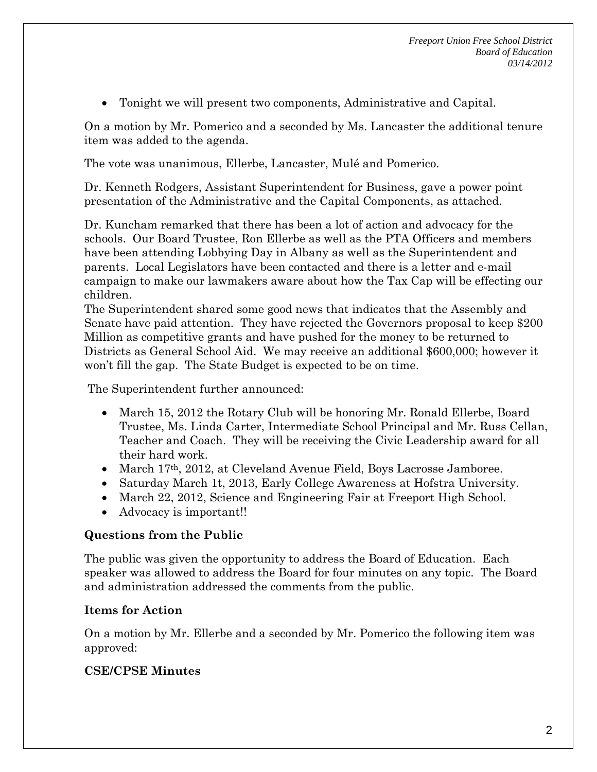Tonight we will present two components, Administrative and Capital.

On a motion by Mr. Pomerico and a seconded by Ms. Lancaster the additional tenure item was added to the agenda.

The vote was unanimous, Ellerbe, Lancaster, Mulé and Pomerico.

Dr. Kenneth Rodgers, Assistant Superintendent for Business, gave a power point presentation of the Administrative and the Capital Components, as attached.

Dr. Kuncham remarked that there has been a lot of action and advocacy for the schools. Our Board Trustee, Ron Ellerbe as well as the PTA Officers and members have been attending Lobbying Day in Albany as well as the Superintendent and parents. Local Legislators have been contacted and there is a letter and e-mail campaign to make our lawmakers aware about how the Tax Cap will be effecting our children.

The Superintendent shared some good news that indicates that the Assembly and Senate have paid attention. They have rejected the Governors proposal to keep \$200 Million as competitive grants and have pushed for the money to be returned to Districts as General School Aid. We may receive an additional \$600,000; however it won't fill the gap. The State Budget is expected to be on time.

The Superintendent further announced:

- March 15, 2012 the Rotary Club will be honoring Mr. Ronald Ellerbe, Board Trustee, Ms. Linda Carter, Intermediate School Principal and Mr. Russ Cellan, Teacher and Coach. They will be receiving the Civic Leadership award for all their hard work.
- March 17th, 2012, at Cleveland Avenue Field, Boys Lacrosse Jamboree.
- Saturday March 1t, 2013, Early College Awareness at Hofstra University.
- March 22, 2012, Science and Engineering Fair at Freeport High School.
- Advocacy is important!!

## **Questions from the Public**

The public was given the opportunity to address the Board of Education. Each speaker was allowed to address the Board for four minutes on any topic. The Board and administration addressed the comments from the public.

## **Items for Action**

On a motion by Mr. Ellerbe and a seconded by Mr. Pomerico the following item was approved:

# **CSE/CPSE Minutes**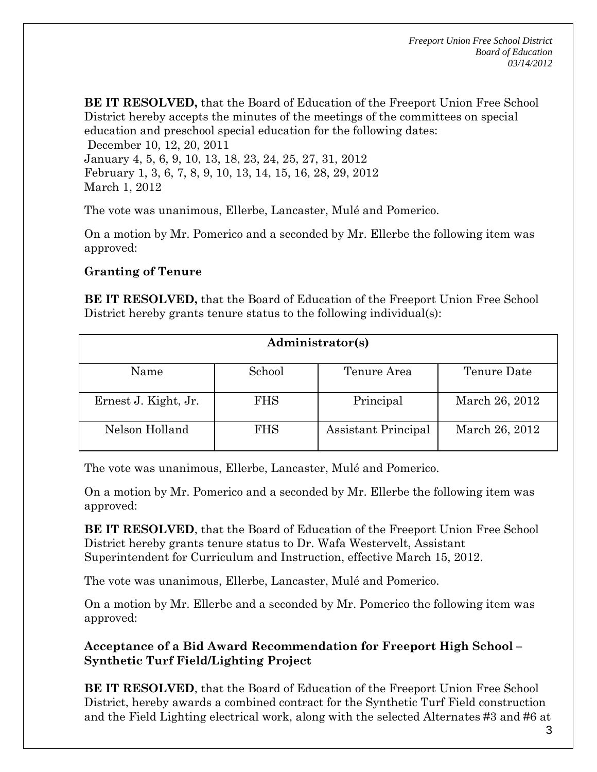**BE IT RESOLVED,** that the Board of Education of the Freeport Union Free School District hereby accepts the minutes of the meetings of the committees on special education and preschool special education for the following dates:

 December 10, 12, 20, 2011 January 4, 5, 6, 9, 10, 13, 18, 23, 24, 25, 27, 31, 2012 February 1, 3, 6, 7, 8, 9, 10, 13, 14, 15, 16, 28, 29, 2012 March 1, 2012

The vote was unanimous, Ellerbe, Lancaster, Mulé and Pomerico.

On a motion by Mr. Pomerico and a seconded by Mr. Ellerbe the following item was approved:

### **Granting of Tenure**

**BE IT RESOLVED,** that the Board of Education of the Freeport Union Free School District hereby grants tenure status to the following individual(s):

| Administrator(s)     |            |                     |                |  |
|----------------------|------------|---------------------|----------------|--|
| Name                 | School     | Tenure Area         | Tenure Date    |  |
| Ernest J. Kight, Jr. | <b>FHS</b> | Principal           | March 26, 2012 |  |
| Nelson Holland       | <b>FHS</b> | Assistant Principal | March 26, 2012 |  |

The vote was unanimous, Ellerbe, Lancaster, Mulé and Pomerico.

On a motion by Mr. Pomerico and a seconded by Mr. Ellerbe the following item was approved:

**BE IT RESOLVED**, that the Board of Education of the Freeport Union Free School District hereby grants tenure status to Dr. Wafa Westervelt, Assistant Superintendent for Curriculum and Instruction, effective March 15, 2012.

The vote was unanimous, Ellerbe, Lancaster, Mulé and Pomerico.

On a motion by Mr. Ellerbe and a seconded by Mr. Pomerico the following item was approved:

**Acceptance of a Bid Award Recommendation for Freeport High School – Synthetic Turf Field/Lighting Project** 

**BE IT RESOLVED**, that the Board of Education of the Freeport Union Free School District, hereby awards a combined contract for the Synthetic Turf Field construction and the Field Lighting electrical work, along with the selected Alternates #3 and #6 at